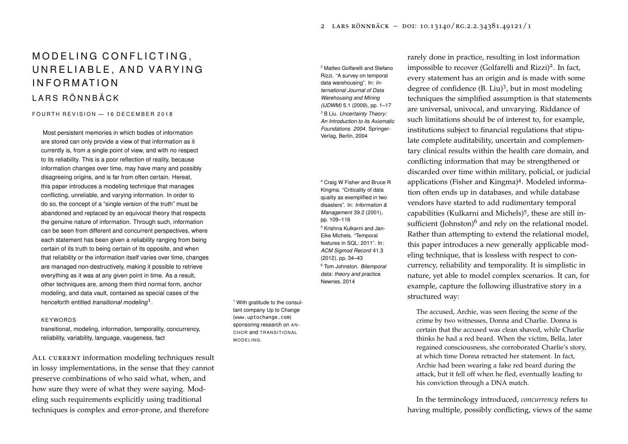# MODELING CONFLICTING. UNRELIABLE, AND VARYING I N F O R M AT I O N L A R S R Ö N N B Ä C K

## $F$  OURTH REVISION  $-$  16 DECEMBER 2018

Most persistent memories in which bodies of information are stored can only provide a view of that information as it currently is, from a single point of view, and with no respect to its reliability. This is a poor reflection of reality, because information changes over time, may have many and possibly disagreeing origins, and is far from often certain. Hereat, this paper introduces a modeling technique that manages conflicting, unreliable, and varying information. In order to do so, the concept of a "single version of the truth" must be abandoned and replaced by an equivocal theory that respects the genuine nature of information. Through such, information can be seen from different and concurrent perspectives, where each statement has been given a reliability ranging from being certain of its truth to being certain of its opposite, and when that reliability or the information itself varies over time, changes are managed non-destructively, making it possible to retrieve everything as it was at any given point in time. As a result, other techniques are, among them third normal form, anchor modeling, and data vault, contained as special cases of the henceforth entitled *transitional modeling*<sup>1</sup> .

#### KEYWORDS

transitional, modeling, information, temporality, concurrency, reliability, variability, language, vaugeness, fact

ALL CURRENT information modeling techniques result in lossy implementations, in the sense that they cannot preserve combinations of who said what, when, and how sure they were of what they were saying. Modeling such requirements explicitly using traditional techniques is complex and error-prone, and therefore

Rizzi. "A survey on temporal data warehousing". In: *International Journal of Data Warehousing and Mining (IJDWM)* 5.1 (2009), pp. 1–17 <sup>3</sup> B Liu. *Uncertainty Theory: An Introduction to its Axiomatic Foundations. 2004*. Springer-Verlag, Berlin, 2004

Kingma. "Criticality of data quality as exemplified in two disasters". In: *Information & Management* 39.2 (2001), pp. 109–116 <sup>5</sup> Krishna Kulkarni and Jan-Eike Michels. "Temporal features in SQL: 2011". In: *ACM Sigmod Record* 41.3 (2012), pp. 34–43 <sup>6</sup> Tom Johnston. *Bitemporal data: theory and practice*. Newnes, 2014

<sup>1</sup> With gratitude to the consultant company Up to Change (<www.uptochange.com>) sponsoring research on AN-**CHOR and TRANSITIONAL** MODELING.

rarely done in practice, resulting in lost information <sup>2</sup> Matteo Golfarelli and Stefano impossible to recover (Golfarelli and Rizzi)<sup>2</sup>. In fact, every statement has an origin and is made with some degree of confidence (B. Liu)<sup>3</sup>, but in most modeling techniques the simplified assumption is that statements are universal, univocal, and unvarying. Riddance of such limitations should be of interest to, for example, institutions subject to financial regulations that stipulate complete auditability, uncertain and complementary clinical results within the health care domain, and conflicting information that may be strengthened or discarded over time within military, policial, or judicial <sup>4</sup> Craig W Fisher and Bruce R applications (Fisher and Kingma)<sup>4</sup>. Modeled information often ends up in databases, and while database vendors have started to add rudimentary temporal capabilities (Kulkarni and Michels)<sup>5</sup>, these are still insufficient (Johnston) $^6$  and rely on the relational model. Rather than attempting to extend the relational model, this paper introduces a new generally applicable modeling technique, that is lossless with respect to concurrency, reliability and temporality. It is simplistic in nature, yet able to model complex scenarios. It can, for example, capture the following illustrative story in a structured way:

> The accused, Archie, was seen fleeing the scene of the crime by two witnesses, Donna and Charlie. Donna is certain that the accused was clean shaved, while Charlie thinks he had a red beard. When the victim, Bella, later regained consciousness, she corroborated Charlie's story, at which time Donna retracted her statement. In fact, Archie had been wearing a fake red beard during the attack, but it fell off when he fled, eventually leading to his conviction through a DNA match.

In the terminology introduced, *concurrency* refers to having multiple, possibly conflicting, views of the same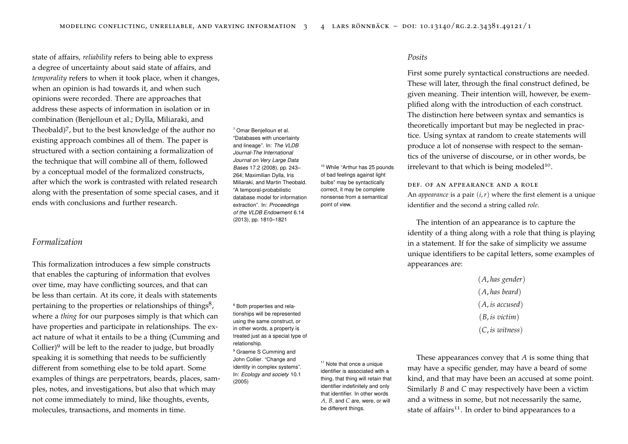state of affairs, *reliability* refers to being able to express a degree of uncertainty about said state of affairs, and *temporality* refers to when it took place, when it changes, when an opinion is had towards it, and when such opinions were recorded. There are approaches that address these aspects of information in isolation or in combination (Benjelloun et al.; Dylla, Miliaraki, and Theobald)<sup>7</sup>, but to the best knowledge of the author no  $7$  Omar Benjelloun et al. existing approach combines all of them. The paper is structured with a section containing a formalization of the technique that will combine all of them, followed by a conceptual model of the formalized constructs, after which the work is contrasted with related research along with the presentation of some special cases, and it ends with conclusions and further research.

## *Formalization*

This formalization introduces a few simple constructs that enables the capturing of information that evolves over time, may have conflicting sources, and that can be less than certain. At its core, it deals with statements pertaining to the properties or relationships of things<sup>8</sup>, where a *thing* for our purposes simply is that which can have properties and participate in relationships. The exact nature of what it entails to be a thing (Cumming and Collier)<sup>9</sup> will be left to the reader to judge, but broadly <sup>relationship.</sup>  $\frac{1}{9}$  Graeme S Cumming and speaking it is something that needs to be sufficiently different from something else to be told apart. Some examples of things are perpetrators, beards, places, samples, notes, and investigations, but also that which may not come immediately to mind, like thoughts, events, molecules, transactions, and moments in time.

"Databases with uncertainty and lineage". In: *The VLDB Journal-The International Journal on Very Large Data Bases* 17.2 (2008), pp. 243– 264; Maximilian Dylla, Iris Miliaraki, and Martin Theobald. "A temporal-probabilistic database model for information extraction". In: *Proceedings of the VLDB Endowment* 6.14 (2013), pp. 1810–1821

<sup>8</sup> Both properties and relationships will be represented using the same construct, or in other words, a property is treated just as a special type of relationship. John Collier. "Change and

identity in complex systems". In: *Ecology and society* 10.1 (2005)

<sup>11</sup> Note that once a unique identifier is associated with a thing, that thing will retain that identifier indefinitely and only that identifier. In other words *A*, *B*, and *C* are, were, or will be different things.

<sup>10</sup> While "Arthur has 25 pounds of bad feelings against light bulbs" may be syntactically correct, it may be complete nonsense from a semantical

point of view.

## *Posits*

First some purely syntactical constructions are needed. These will later, through the final construct defined, be given meaning. Their intention will, however, be exemplified along with the introduction of each construct. The distinction here between syntax and semantics is theoretically important but may be neglected in practice. Using syntax at random to create statements will produce a lot of nonsense with respect to the semantics of the universe of discourse, or in other words, be irrelevant to that which is being modeled<sup>10</sup>.

def. of an appearance and a role

An *appearance* is a pair (*i*,*r*) where the first element is a unique identifier and the second a string called *role*.

The intention of an appearance is to capture the identity of a thing along with a role that thing is playing in a statement. If for the sake of simplicity we assume unique identifiers to be capital letters, some examples of appearances are:

> (*A*, *has gender*) (*A*, *has beard*) (*A*, *is accused*) (*B*, *is victim*) (*C*, *is witness*)

These appearances convey that *A* is some thing that may have a specific gender, may have a beard of some kind, and that may have been an accused at some point. Similarly *B* and *C* may respectively have been a victim and a witness in some, but not necessarily the same, state of affairs<sup>11</sup>. In order to bind appearances to a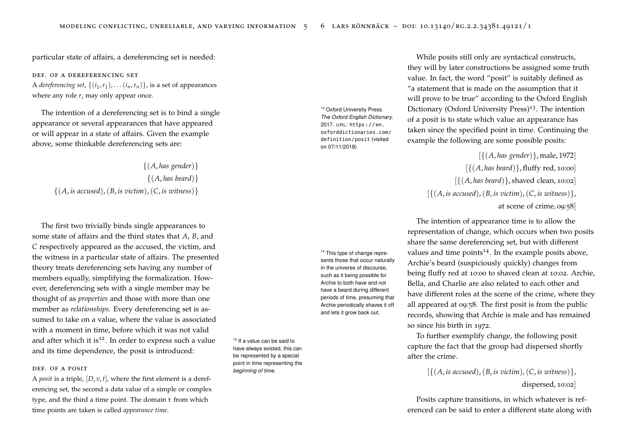particular state of affairs, a dereferencing set is needed:

def. of a dereferencing set A *dereferencing set*,  $\{(i_1, r_1), \ldots (i_n, r_n)\}$ , is a set of appearances where any role  $r_i$  may only appear once.

The intention of a dereferencing set is to bind a single [appearance or s](https://en.oxforddictionaries.com/definition/posit)everal appearances that have appeared [or will appear i](https://en.oxforddictionaries.com/definition/posit)n a state of affairs. Given the example [above, s](https://en.oxforddictionaries.com/definition/posit)ome thinkable dereferencing sets are:

{(*A*, *has gender*)} {(*A*, *has beard*)} {(*A*, *is accused*),(*B*, *is victim*),(*C*, *is witness*)}

The first two trivially binds single appearances to some state of affairs and the third states that *A*, *B*, and *C* respectively appeared as the accused, the victim, and the witness in a particular state of affairs. The presented theory treats dereferencing sets having any number of members equally, simplifying the formalization. However, dereferencing sets with a single member may be thought of as *properties* and those with more than one member as *relationships*. Every dereferencing set is assumed to take on a value, where the value is associated with a moment in time, before which it was not valid and after which it is<sup>12</sup>. In order to express such a value  $12$  If a value can be said to and its time dependence, the posit is introduced:

#### DEE OF A POSIT

A *posit* is a triple, [*D*, *v*, *t*], where the first element is a dereferencing set, the second a data value of a simple or complex type, and the third a time point. The domain t from which time points are taken is called *appearance time*.

*The Oxford English Dictionary*. 2017. URL: https://en. oxforddictionaries.com/ definition/posit (visited on 07/11/2018)

While posits still only are syntactical constructs, they will by later constructions be assigned some truth value. In fact, the word "posit" is suitably defined as "a statement that is made on the assumption that it will prove to be true" according to the Oxford English <sup>13</sup> Oxford University Press.  $Dictionary (Oxford University Press)<sup>13</sup>$ . The intention of a posit is to state which value an appearance has taken since the specified point in time. Continuing the example the following are some possible posits:

> [{(*A*, *has gender*)}, male, 1972] [{(*A*, *has beard*)}, fluffy red, 10:00]  $[\{(A, has\, be \text{ard})\}$ , shaved clean, 10:02  $[\{(A, is \text{accused}), (B, is \text{ }v;$   $\{(C, is \text{ }w; t \text{ } \text{ }h; \text{ } \} \}$ at scene of crime, 09:58]

The intention of appearance time is to allow the representation of change, which occurs when two posits share the same dereferencing set, but with different <sup>14</sup> This type of change repre-<br>values and time points<sup>14</sup>. In the example posits above, Archie's beard (suspiciously quickly) changes from being fluffy red at 10:00 to shaved clean at 10:02. Archie, Bella, and Charlie are also related to each other and have different roles at the scene of the crime, where they all appeared at 09:58. The first posit is from the public records, showing that Archie is male and has remained so since his birth in 1972.

> To further exemplify change, the following posit capture the fact that the group had dispersed shortly after the crime.

> > $[\{(A, is \text{accused})\}, (B, is \text{ }victim)$ ,  $(C, is \text{ }witness)\}.$ dispersed, 10:02]

Posits capture transitions, in which whatever is referenced can be said to enter a different state along with

sents those that occur naturally in the universe of discourse, such as it being possible for Archie to both have and not have a beard during different periods of time, presuming that Archie periodically shaves it off and lets it grow back out.

have always existed, this can be represented by a special point in time representing the *beginning of time*.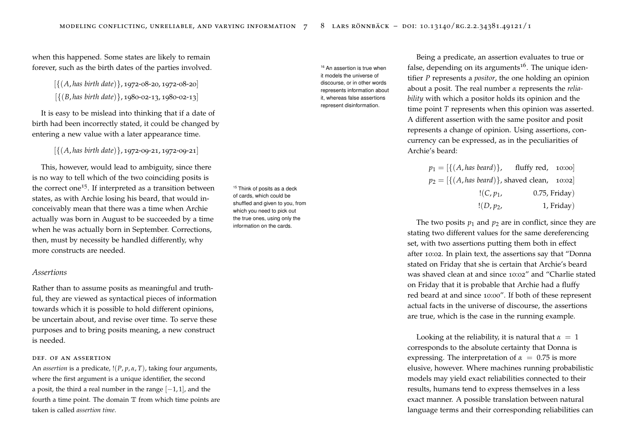when this happened. Some states are likely to remain forever, such as the birth dates of the parties involved.

[{(*A*, *has birth date*)}, 1972-08-20, 1972-08-20]

[{(*B*, *has birth date*)}, 1980-02-13, 1980-02-13]

It is easy to be mislead into thinking that if a date of birth had been incorrectly stated, it could be changed by entering a new value with a later appearance time.

[{(*A*, *has birth date*)}, 1972-09-21, 1972-09-21]

This, however, would lead to ambiguity, since there is no way to tell which of the two coinciding posits is the correct one<sup>15</sup>. If interpreted as a transition between  $15$  Think of posits as a deck states, as with Archie losing his beard, that would inconceivably mean that there was a time when Archie actually was born in August to be succeeded by a time when he was actually born in September. Corrections, then, must by necessity be handled differently, why more constructs are needed.

## *Assertions*

Rather than to assume posits as meaningful and truthful, they are viewed as syntactical pieces of information towards which it is possible to hold different opinions, be uncertain about, and revise over time. To serve these purposes and to bring posits meaning, a new construct is needed.

#### DEF. OF AN ASSERTION

An *assertion* is a predicate, !(*P*, *p*, *α*, *T*), taking four arguments, where the first argument is a unique identifier, the second a posit, the third a real number in the range  $[-1, 1]$ , and the fourth a time point. The domain  $\mathbb T$  from which time points are taken is called *assertion time*.

it models the universe of discourse, or in other words represents information about it, whereas false assertions represent disinformation.

of cards, which could be shuffled and given to you, from which you need to pick out the true ones, using only the information on the cards.

Being a predicate, an assertion evaluates to true or <sup>16</sup> An assertion is true when  $\qquad \qquad$  false, depending on its arguments<sup>16</sup>. The unique identifier *P* represents a *positor*, the one holding an opinion about a posit. The real number *α* represents the *reliability* with which a positor holds its opinion and the time point *T* represents when this opinion was asserted. A different assertion with the same positor and posit represents a change of opinion. Using assertions, concurrency can be expressed, as in the peculiarities of Archie's beard:

| $p_1 = \left[ \{ (A, \text{has } \text{beard}) \} \right]$ , fluffy red, 10:00       |             |                  |
|--------------------------------------------------------------------------------------|-------------|------------------|
| $p_2 = \left[ \{ (A, has \, be \, and) \}, \, \text{shaved clean}, \, 10:02 \right]$ |             |                  |
|                                                                                      | $!(C, p_1,$ | $0.75$ , Friday) |
|                                                                                      | $!(D, p_2,$ | 1, Friday)       |

The two posits  $p_1$  and  $p_2$  are in conflict, since they are stating two different values for the same dereferencing set, with two assertions putting them both in effect after 10:02. In plain text, the assertions say that "Donna stated on Friday that she is certain that Archie's beard was shaved clean at and since 10:02" and "Charlie stated on Friday that it is probable that Archie had a fluffy red beard at and since 10:00". If both of these represent actual facts in the universe of discourse, the assertions are true, which is the case in the running example.

Looking at the reliability, it is natural that  $\alpha = 1$ corresponds to the absolute certainty that Donna is expressing. The interpretation of  $\alpha = 0.75$  is more elusive, however. Where machines running probabilistic models may yield exact reliabilities connected to their results, humans tend to express themselves in a less exact manner. A possible translation between natural language terms and their corresponding reliabilities can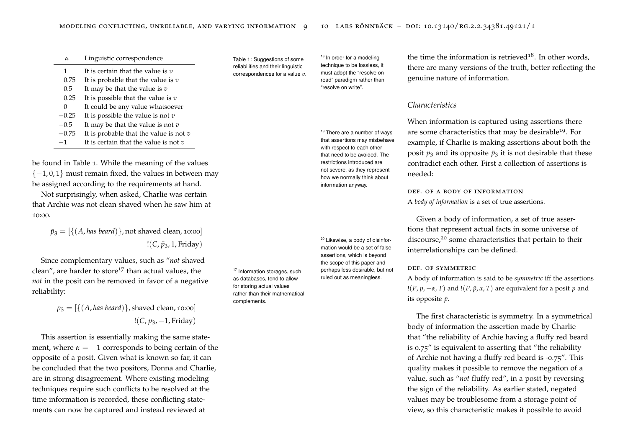| $\alpha$ | Linguistic correspondence |
|----------|---------------------------|
|----------|---------------------------|

- 1 It is certain that the value is *v*
- 0.75 It is probable that the value is *v*
- 0.5 It may be that the value is *v*
- 0.25 It is possible that the value is *v*
- 0 It could be any value whatsoever
- −0.25 It is possible the value is not *v*
- −0.5 It may be that the value is not *v*
- −0.75 It is probable that the value is not *v*
- −1 It is certain that the value is not *v*

be found in Table [1](#page-4-0). While the meaning of the values  ${-1, 0, 1}$  must remain fixed, the values in between may be assigned according to the requirements at hand.

Not surprisingly, when asked, Charlie was certain that Archie was not clean shaved when he saw him at 10:00.

 $\bar{p}_3 = [\{(A, \text{has } \text{beard})\}]\}$ , not shaved clean, 10:00] !(*C*, *p*¯3, 1, Friday)

Since complementary values, such as "*not* shaved clean", are harder to store<sup>17</sup> than actual values, the  $17$  Information storages, such *not* in the posit can be removed in favor of a negative reliability:

 $p_3 = [\{(A, has\,) \}$ , shaved clean, 10:00] !(*C*, *p*3, −1, Friday)

This assertion is essentially making the same statement, where  $\alpha = -1$  corresponds to being certain of the opposite of a posit. Given what is known so far, it can be concluded that the two positors, Donna and Charlie, are in strong disagreement. Where existing modeling techniques require such conflicts to be resolved at the time information is recorded, these conflicting statements can now be captured and instead reviewed at

<span id="page-4-0"></span>Table 1: Suggestions of some reliabilities and their linguistic correspondences for a value *v*.

as databases, tend to allow for storing actual values rather than their mathematical

complements.

technique to be lossless, it must adopt the "resolve on read" paradigm rather than "resolve on write".

that assertions may misbehave with respect to each other that need to be avoided. The restrictions introduced are not severe, as they represent how we normally think about information anyway.

mation would be a set of false assertions, which is beyond the scope of this paper and perhaps less desirable, but not ruled out as meaningless.

<sup>18</sup> In order for a modeling the time the information is retrieved<sup>18</sup>. In other words, there are many versions of the truth, better reflecting the genuine nature of information.

## *Characteristics*

When information is captured using assertions there <sup>19</sup> There are a number of ways are some characteristics that may be desirable<sup>19</sup>. For example, if Charlie is making assertions about both the posit  $p_3$  and its opposite  $\bar{p}_3$  it is not desirable that these contradict each other. First a collection of assertions is needed:

> def. of a body of information A *body of information* is a set of true assertions.

Given a body of information, a set of true assertions that represent actual facts in some universe of <sup>20</sup> Likewise, a body of disinfor-<br>discourse,<sup>20</sup> some characteristics that pertain to their interrelationships can be defined.

## def. of symmetric

A body of information is said to be *symmetric* iff the assertions ! $(P, p, -\alpha, T)$  and ! $(P, \bar{p}, \alpha, T)$  are equivalent for a posit *p* and its opposite  $\bar{p}$ .

The first characteristic is symmetry. In a symmetrical body of information the assertion made by Charlie that "the reliability of Archie having a fluffy red beard is 0.75" is equivalent to asserting that "the reliability of Archie not having a fluffy red beard is -0.75". This quality makes it possible to remove the negation of a value, such as "*not* fluffy red", in a posit by reversing the sign of the reliability. As earlier stated, negated values may be troublesome from a storage point of view, so this characteristic makes it possible to avoid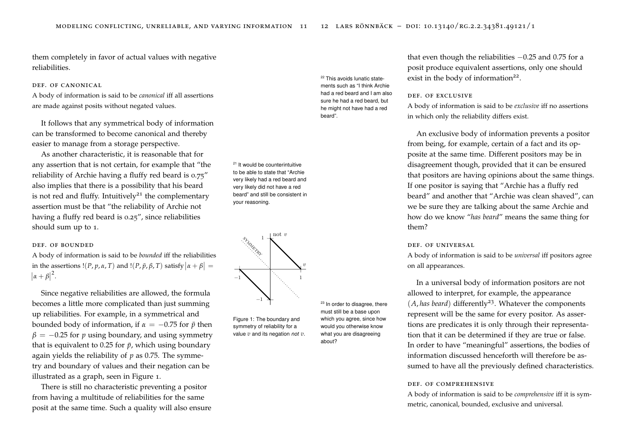them completely in favor of actual values with negative reliabilities.

## DEF. OF CANONICAL

A body of information is said to be *canonical* iff all assertions are made against posits without negated values.

It follows that any symmetrical body of information can be transformed to become canonical and thereby easier to manage from a storage perspective.

As another characteristic, it is reasonable that for any assertion that is not certain, for example that "the reliability of Archie having a fluffy red beard is 0.75" also implies that there is a possibility that his beard is not red and fluffy. Intuitively<sup>21</sup> the complementary assertion must be that "the reliability of Archie not your reasoning. having a fluffy red beard is 0.25", since reliabilities should sum up to 1.

## DEE OF BOUNDED

A body of information is said to be *bounded* iff the reliabilities in the assertions  $!(P, p, \alpha, T)$  and  $!(P, \bar{p}, \beta, T)$  satisfy  $|\alpha + \beta|$  =  $|\alpha + \beta|^2$ .

Since negative reliabilities are allowed, the formula becomes a little more complicated than just summing up reliabilities. For example, in a symmetrical and bounded body of information, if  $\alpha = -0.75$  for  $\bar{p}$  then  $\beta = -0.25$  for *p* using boundary, and using symmetry that is equivalent to 0.25 for  $\bar{p}$ , which using boundary again yields the reliability of *p* as 0.75. The symmetry and boundary of values and their negation can be illustrated as a graph, seen in Figure [1](#page-5-0).

There is still no characteristic preventing a positor from having a multitude of reliabilities for the same posit at the same time. Such a quality will also ensure <sup>21</sup> It would be counterintuitive to be able to state that "Archie very likely had a red beard and very likely did not have a red beard" and still be consistent in



<span id="page-5-0"></span>Figure 1: The boundary and symmetry of reliability for a value *v* and its negation *not v*. must still be a base upon which you agree, since how would you otherwise know what you are disagreeing about?

<sup>22</sup> This avoids lunatic statements such as "I think Archie had a red beard and I am also sure he had a red beard, but he might not have had a red

beard".

that even though the reliabilities −0.25 and 0.75 for a posit produce equivalent assertions, only one should exist in the body of information $2^2$ .

#### def. of exclusive

A body of information is said to be *exclusive* iff no assertions in which only the reliability differs exist.

An exclusive body of information prevents a positor from being, for example, certain of a fact and its opposite at the same time. Different positors may be in disagreement though, provided that it can be ensured that positors are having opinions about the same things. If one positor is saying that "Archie has a fluffy red beard" and another that "Archie was clean shaved", can we be sure they are talking about the same Archie and how do we know "*has beard*" means the same thing for them?

#### DEE. OF UNIVERSAL

A body of information is said to be *universal* iff positors agree on all appearances.

In a universal body of information positors are not allowed to interpret, for example, the appearance <sup>23</sup> In order to disagree, there  $(A, has\, be \text{ard})$  differently<sup>23</sup>. Whatever the components represent will be the same for every positor. As assertions are predicates it is only through their representation that it can be determined if they are true or false. In order to have "meaningful" assertions, the bodies of information discussed henceforth will therefore be assumed to have all the previously defined characteristics.

#### def. of comprehensive

A body of information is said to be *comprehensive* iff it is symmetric, canonical, bounded, exclusive and universal.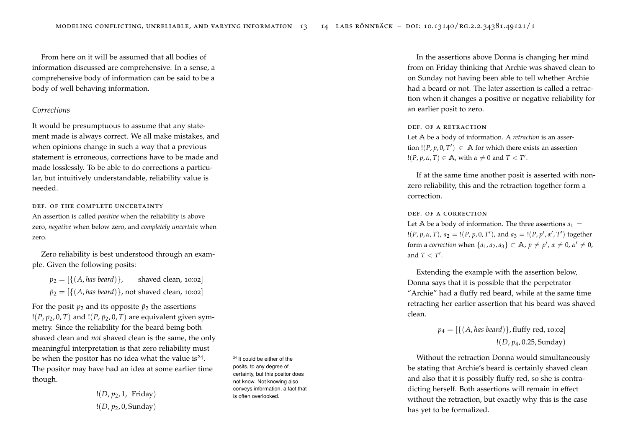From here on it will be assumed that all bodies of information discussed are comprehensive. In a sense, a comprehensive body of information can be said to be a body of well behaving information.

## *Corrections*

It would be presumptuous to assume that any statement made is always correct. We all make mistakes, and when opinions change in such a way that a previous statement is erroneous, corrections have to be made and made losslessly. To be able to do corrections a particular, but intuitively understandable, reliability value is needed.

## DEE. OF THE COMPLETE UNCERTAINTY

An assertion is called *positive* when the reliability is above zero, *negative* when below zero, and *completely uncertain* when zero.

Zero reliability is best understood through an example. Given the following posits:

 $p_2 = \left[ \{ (A, \text{has } \text{beard}) \} \right]$ , shaved clean, 10:02]  $\bar{p}_2 = [\{(A, \text{has } \text{beard})\}, \text{not } \text{shaved } \text{clean}, \text{ 10:02}]\}$ 

For the posit  $p_2$  and its opposite  $\bar{p}_2$  the assertions  $!(P, p_2, 0, T)$  and  $!(P, \bar{p}_2, 0, T)$  are equivalent given symmetry. Since the reliability for the beard being both shaved clean and *not* shaved clean is the same, the only meaningful interpretation is that zero reliability must be when the positor has no idea what the value is<sup>24</sup>. The positor may have had an idea at some earlier time though.

> !(*D*, *p*2, 1, Friday) !(*D*, *p*2, 0, Sunday)

<sup>24</sup> It could be either of the posits, to any degree of certainty, but this positor does not know. Not knowing also conveys information, a fact that is often overlooked.

In the assertions above Donna is changing her mind from on Friday thinking that Archie was shaved clean to on Sunday not having been able to tell whether Archie had a beard or not. The later assertion is called a retraction when it changes a positive or negative reliability for an earlier posit to zero.

## def. of a retraction

Let **A** be a body of information. A *retraction* is an assertion  $!(P, p, 0, T') \in A$  for which there exists an assertion  $!(P, p, \alpha, T) \in \mathbb{A}$ , with  $\alpha \neq 0$  and  $T < T'$ .

If at the same time another posit is asserted with nonzero reliability, this and the retraction together form a correction.

## def. of a correction

Let A be a body of information. The three assertions  $a_1 =$  $!(P, p, \alpha, T), a_2 = 1(P, p, 0, T'),$  and  $a_3 = 1(P, p', \alpha', T')$  together form a *correction* when  $\{a_1, a_2, a_3\} \subset \mathbb{A}$ ,  $p \neq p'$ ,  $\alpha \neq 0$ ,  $\alpha' \neq 0$ , and  $T < T'$ .

Extending the example with the assertion below, Donna says that it is possible that the perpetrator "Archie" had a fluffy red beard, while at the same time retracting her earlier assertion that his beard was shaved clean.

> $p_4 = [{(A, has\,)}, {\text{fluffy red, 10:02}}]$ !(*D*, *p*4, 0.25, Sunday)

Without the retraction Donna would simultaneously be stating that Archie's beard is certainly shaved clean and also that it is possibly fluffy red, so she is contradicting herself. Both assertions will remain in effect without the retraction, but exactly why this is the case has yet to be formalized.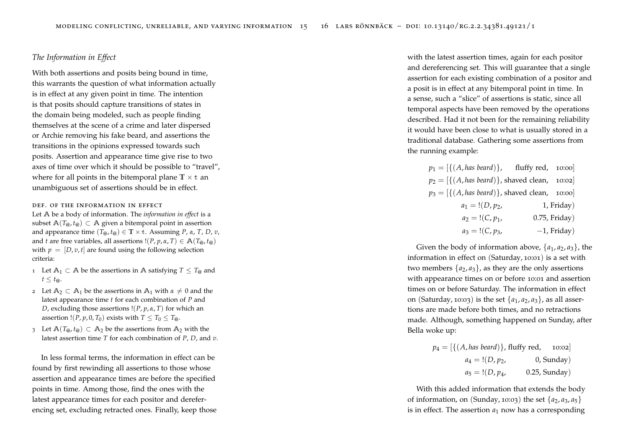## *The Information in Effect*

With both assertions and posits being bound in time, this warrants the question of what information actually is in effect at any given point in time. The intention is that posits should capture transitions of states in the domain being modeled, such as people finding themselves at the scene of a crime and later dispersed or Archie removing his fake beard, and assertions the transitions in the opinions expressed towards such posits. Assertion and appearance time give rise to two axes of time over which it should be possible to "travel", where for all points in the bitemporal plane  $\mathbb{T} \times \mathbb{t}$  and unambiguous set of assertions should be in effect.

## def. of the information in effect

Let **A** be a body of information. The *information in effect* is a subset  $\mathbb{A}(T_{\omega}, t_{\omega}) \subset \mathbb{A}$  given a bitemporal point in assertion and appearance time  $(T_{@}, t_{@}) \in \mathbb{T} \times \mathbb{t}$ . Assuming *P*,  $\alpha$ , *T*, *D*,  $v$ , and *t* are free variables, all assertions  $!(P, p, \alpha, T) \in A(T_{\alpha}, t_{\alpha})$ with  $p = [D, v, t]$  are found using the following selection criteria:

- 1 Let  $A_1$  ⊂ A be the assertions in A satisfying  $T \leq T_{\omega}$  and  $t \leq t_{\varpi}$ .
- 2 Let  $A_2 \subset A_1$  be the assertions in  $A_1$  with  $\alpha \neq 0$  and the latest appearance time *t* for each combination of *P* and *D*, excluding those assertions !(*P*, *p*, *α*, *T*) for which an assertion !(*P*, *p*, 0, *T*<sub>0</sub>) exists with  $T \leq T_0 \leq T_{\varnothing}$ .
- 3 Let  $\mathbb{A}(T_{\varpi}, t_{\varpi}) \subset \mathbb{A}_2$  be the assertions from  $\mathbb{A}_2$  with the latest assertion time *T* for each combination of *P*, *D*, and *v*.

In less formal terms, the information in effect can be found by first rewinding all assertions to those whose assertion and appearance times are before the specified points in time. Among those, find the ones with the latest appearance times for each positor and dereferencing set, excluding retracted ones. Finally, keep those

with the latest assertion times, again for each positor and dereferencing set. This will guarantee that a single assertion for each existing combination of a positor and a posit is in effect at any bitemporal point in time. In a sense, such a "slice" of assertions is static, since all temporal aspects have been removed by the operations described. Had it not been for the remaining reliability it would have been close to what is usually stored in a traditional database. Gathering some assertions from the running example:

|                   | $p_1 = \left[ \{ (A, has \, be \, and) \} \right], \quad \text{fluffy red, } 10:00 \right]$ |
|-------------------|---------------------------------------------------------------------------------------------|
|                   | $p_2 = \left[ \{ (A, has \, be \, and \} \}, \, \text{shaved clean}, \, 10:02 \right]$      |
|                   | $p_3 = \left[ \{ (A, has \, be \, and) \}, \, \text{shaved clean}, \, 10:00 \right]$        |
| $a_1 = !(D, p_2,$ | 1, Friday)                                                                                  |
| $a_2 = !(C, p_1,$ | $0.75$ , Friday)                                                                            |
| $a_3 = !(C, p_3,$ | $-1$ , Friday)                                                                              |

Given the body of information above,  $\{a_1, a_2, a_3\}$ , the information in effect on (Saturday, 10:01) is a set with two members  $\{a_2, a_3\}$ , as they are the only assertions with appearance times on or before 10:01 and assertion times on or before Saturday. The information in effect on (Saturday, 10:03) is the set  $\{a_1, a_2, a_3\}$ , as all assertions are made before both times, and no retractions made. Although, something happened on Sunday, after Bella woke up:

$$
p_4 = [{(A, has beard)}, fluffy red, 10:02]
$$
  

$$
a_4 = !(D, p_2, 0, Sunday)
$$
  

$$
a_5 = !(D, p_4, 0.25, Sunday)
$$

With this added information that extends the body of information, on (Sunday, 10:03) the set  $\{a_2, a_3, a_5\}$ is in effect. The assertion  $a_1$  now has a corresponding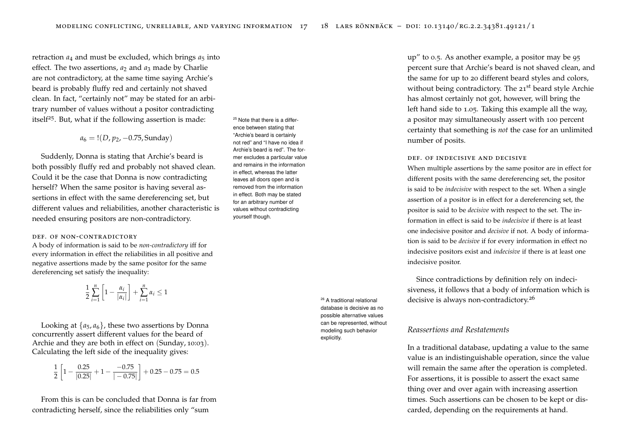retraction  $a_4$  and must be excluded, which brings  $a_5$  into effect. The two assertions,  $a_2$  and  $a_3$  made by Charlie are not contradictory, at the same time saying Archie's beard is probably fluffy red and certainly not shaved clean. In fact, "certainly not" may be stated for an arbitrary number of values without a positor contradicting itself<sup>25</sup>. But, what if the following assertion is made: <sup>25</sup> Note that there is a differ-

 $a_6 = !(D, p_2, -0.75,$  Sunday)

Suddenly, Donna is stating that Archie's beard is both possibly fluffy red and probably not shaved clean. Could it be the case that Donna is now contradicting herself? When the same positor is having several assertions in effect with the same dereferencing set, but different values and reliabilities, another characteristic is needed ensuring positors are non-contradictory.

#### DEF. OF NON-CONTRADICTORY

A body of information is said to be *non-contradictory* iff for every information in effect the reliabilities in all positive and negative assertions made by the same positor for the same dereferencing set satisfy the inequality:

$$
\frac{1}{2}\sum_{i=1}^{n} \left[1 - \frac{\alpha_i}{|\alpha_i|}\right] + \sum_{i=1}^{n} \alpha_i \le 1
$$

Looking at  $\{a_5, a_6\}$ , these two assertions by Donna concurrently assert different values for the beard of Archie and they are both in effect on (Sunday, 10:03). Calculating the left side of the inequality gives:

$$
\frac{1}{2}\left[1 - \frac{0.25}{|0.25|} + 1 - \frac{-0.75}{|-0.75|}\right] + 0.25 - 0.75 = 0.5
$$

From this is can be concluded that Donna is far from contradicting herself, since the reliabilities only "sum

ence between stating that "Archie's beard is certainly not red" and "I have no idea if Archie's beard is red". The former excludes a particular value and remains in the information in effect, whereas the latter leaves all doors open and is removed from the information in effect. Both may be stated for an arbitrary number of values without contradicting yourself though.

> database is decisive as no possible alternative values can be represented, without modeling such behavior explicitly.

up" to 0.5. As another example, a positor may be 95 percent sure that Archie's beard is not shaved clean, and the same for up to 20 different beard styles and colors, without being contradictory. The 21<sup>st</sup> beard style Archie has almost certainly not got, however, will bring the left hand side to 1.05. Taking this example all the way, a positor may simultaneously assert with 100 percent certainty that something is *not* the case for an unlimited number of posits.

#### def. of indecisive and decisive

When multiple assertions by the same positor are in effect for different posits with the same dereferencing set, the positor is said to be *indecisive* with respect to the set. When a single assertion of a positor is in effect for a dereferencing set, the positor is said to be *decisive* with respect to the set. The information in effect is said to be *indecisive* if there is at least one indecisive positor and *decisive* if not. A body of information is said to be *decisive* if for every information in effect no indecisive positors exist and *indecisive* if there is at least one indecisive positor.

Since contradictions by definition rely on indecisiveness, it follows that a body of information which is <sup>26</sup> A traditional relational decisive is always non-contradictory.<sup>26</sup>

## *Reassertions and Restatements*

In a traditional database, updating a value to the same value is an indistinguishable operation, since the value will remain the same after the operation is completed. For assertions, it is possible to assert the exact same thing over and over again with increasing assertion times. Such assertions can be chosen to be kept or discarded, depending on the requirements at hand.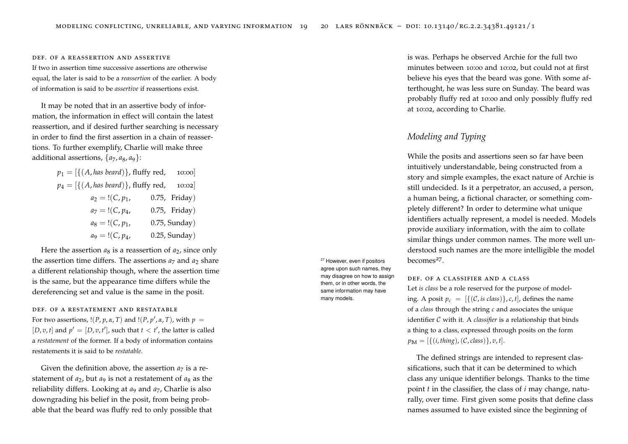#### def. of a reassertion and assertive

If two in assertion time successive assertions are otherwise equal, the later is said to be a *reassertion* of the earlier. A body of information is said to be *assertive* if reassertions exist.

It may be noted that in an assertive body of information, the information in effect will contain the latest reassertion, and if desired further searching is necessary in order to find the first assertion in a chain of reassertions. To further exemplify, Charlie will make three additional assertions,  $\{a_7, a_8, a_9\}$ :

$$
p_1 = [{(A, has bead)}],
$$
fluffy red, 10:00]  
\n
$$
p_4 = [{(A, has bead)}],
$$
fluffy red, 10:02]  
\n
$$
a_2 = !(C, p_1, 0.75,
$$
 Friday)  
\n
$$
a_7 = !(C, p_4, 0.75,
$$
 Friday)  
\n
$$
a_8 = !(C, p_1, 0.75,
$$
 Sunday)  
\n
$$
a_9 = !(C, p_4, 0.25,
$$
 Sunday)

Here the assertion  $a_8$  is a reassertion of  $a_2$ , since only the assertion time differs. The assertions  $a_7$  and  $a_2$  share a different relationship though, where the assertion time is the same, but the appearance time differs while the dereferencing set and value is the same in the posit.

def. of a restatement and restatable For two assertions,  $!(P, p, \alpha, T)$  and  $!(P, p', \alpha, T)$ , with  $p =$ [*D*, *v*, *t*] and  $p' = [D, v, t']$ , such that  $t < t'$ , the latter is called a *restatement* of the former. If a body of information contains restatements it is said to be *restatable*.

Given the definition above, the assertion  $a_7$  is a restatement of  $a_2$ , but  $a_9$  is not a restatement of  $a_8$  as the reliability differs. Looking at *a*<sup>9</sup> and *a*7, Charlie is also downgrading his belief in the posit, from being probable that the beard was fluffy red to only possible that <sup>27</sup> However, even if positors agree upon such names, they may disagree on how to assign them, or in other words, the same information may have many models.

is was. Perhaps he observed Archie for the full two minutes between 10:00 and 10:02, but could not at first believe his eyes that the beard was gone. With some afterthought, he was less sure on Sunday. The beard was probably fluffy red at 10:00 and only possibly fluffy red at 10:02, according to Charlie.

## *Modeling and Typing*

While the posits and assertions seen so far have been intuitively understandable, being constructed from a story and simple examples, the exact nature of Archie is still undecided. Is it a perpetrator, an accused, a person, a human being, a fictional character, or something completely different? In order to determine what unique identifiers actually represent, a model is needed. Models provide auxiliary information, with the aim to collate similar things under common names. The more well understood such names are the more intelligible the model becomes<sup>27</sup>.

## def. of a classifier and a class

Let *is class* be a role reserved for the purpose of modeling. A posit  $p_c = [\{(C, is \text{ class})\}, c, t]$ , defines the name of a *class* through the string *c* and associates the unique identifier C with it. A *classifier* is a relationship that binds a thing to a class, expressed through posits on the form  $p_{\text{M}} = [\{(i, \text{thing}), (C, \text{class})\}, v, t].$ 

The defined strings are intended to represent classifications, such that it can be determined to which class any unique identifier belongs. Thanks to the time point *t* in the classifier, the class of *i* may change, naturally, over time. First given some posits that define class names assumed to have existed since the beginning of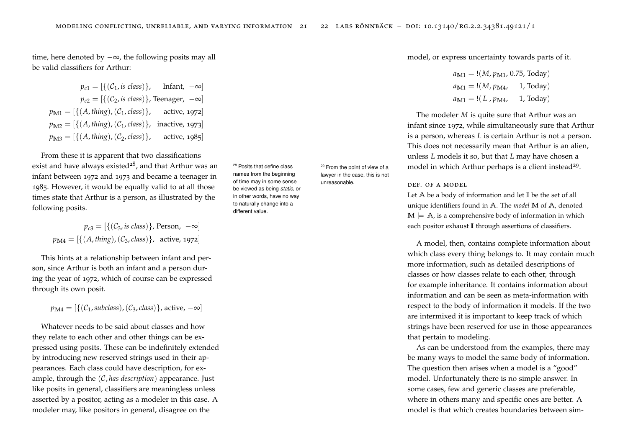time, here denoted by  $-\infty$ , the following posits may all be valid classifiers for Arthur:

$$
p_{c1} = [{C_1, is class]}, \t Infant, -\infty]
$$
  
\n
$$
p_{c2} = [{C_2, is class]}, \tTeenager, -\infty]
$$
  
\n
$$
p_{M1} = [{A, thing}, (C_1, class)], \t active, 1972]
$$
  
\n
$$
p_{M2} = [{A, thing}, (C_1, class)], \t inactive, 1973]
$$
  
\n
$$
p_{M3} = [{A, thing}, (C_2, class)], \t active, 1985]
$$

From these it is apparent that two classifications exist and have always existed<sup>28</sup>, and that Arthur was an <sup>28</sup> Posits that define class infant between 1972 and 1973 and became a teenager in 1985. However, it would be equally valid to at all those times state that Arthur is a person, as illustrated by the following posits.

 $p_{c3} = [{(C_3, is class)}]$ , Person,  $-\infty]$  $p_{\text{M4}} = [\{(A, \text{thing}), (C_3, \text{class})\}, \text{ active}, \text{1972}]$ 

This hints at a relationship between infant and person, since Arthur is both an infant and a person during the year of 1972, which of course can be expressed through its own posit.

 $p_{\text{M4}} = [{(C_1, \text{subclass})}, (C_3, \text{class})],$  active,  $-\infty]$ 

Whatever needs to be said about classes and how they relate to each other and other things can be expressed using posits. These can be indefinitely extended by introducing new reserved strings used in their appearances. Each class could have description, for example, through the (C, *has description*) appearance. Just like posits in general, classifiers are meaningless unless asserted by a positor, acting as a modeler in this case. A modeler may, like positors in general, disagree on the

names from the beginning of time may in some sense be viewed as being *static*, or in other words, have no way to naturally change into a different value.

<sup>29</sup> From the point of view of a lawyer in the case, this is not unreasonable. DEF. OF A MODEL

model, or express uncertainty towards parts of it.

$$
a_{\text{M1}} = !(M, p_{\text{M1}}, 0.75, \text{Today})
$$

$$
a_{\text{M1}} = !(M, p_{\text{M4}}, 1, \text{Today})
$$

$$
a_{\text{M1}} = !(L, p_{\text{M4}}, -1, \text{Today})
$$

The modeler *M* is quite sure that Arthur was an infant since 1972, while simultaneously sure that Arthur is a person, whereas *L* is certain Arthur is not a person. This does not necessarily mean that Arthur is an alien, unless *L* models it so, but that *L* may have chosen a model in which Arthur perhaps is a client instead<sup>29</sup>.

Let **A** be a body of information and let **I** be the set of all unique identifiers found in **A**. The *model* **M** of **A**, denoted  $M \models A$ , is a comprehensive body of information in which each positor exhaust **I** through assertions of classifiers.

A model, then, contains complete information about which class every thing belongs to. It may contain much more information, such as detailed descriptions of classes or how classes relate to each other, through for example inheritance. It contains information about information and can be seen as meta-information with respect to the body of information it models. If the two are intermixed it is important to keep track of which strings have been reserved for use in those appearances that pertain to modeling.

As can be understood from the examples, there may be many ways to model the same body of information. The question then arises when a model is a "good" model. Unfortunately there is no simple answer. In some cases, few and generic classes are preferable, where in others many and specific ones are better. A model is that which creates boundaries between sim-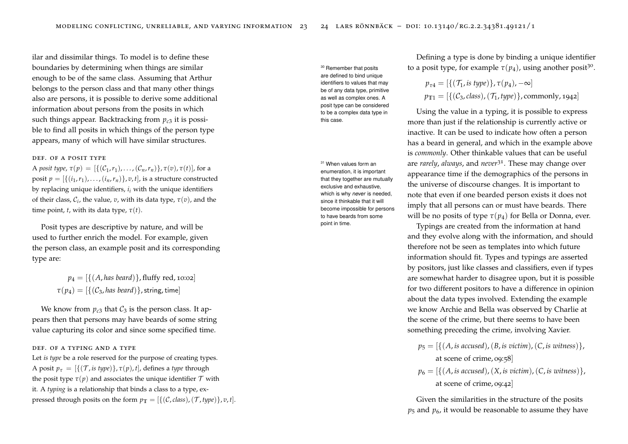ilar and dissimilar things. To model is to define these boundaries by determining when things are similar enough to be of the same class. Assuming that Arthur belongs to the person class and that many other things also are persons, it is possible to derive some additional information about persons from the posits in which such things appear. Backtracking from  $p_{c3}$  it is possible to find all posits in which things of the person type appears, many of which will have similar structures.

## def. of a posit type

A *posit type,*  $\tau(p) = [\{(C_1, r_1), \ldots, (C_n, r_n)\}, \tau(v), \tau(t)],$  for a posit  $p = [\{(i_1, r_1), \ldots, (i_n, r_n)\}, v, t]$ , is a structure constructed by replacing unique identifiers, *i <sup>i</sup>* with the unique identifiers of their class,  $\mathcal{C}_i$ , the value,  $v$ , with its data type,  $\tau(v)$ , and the time point, *t*, with its data type,  $\tau(t)$ .

Posit types are descriptive by nature, and will be used to further enrich the model. For example, given the person class, an example posit and its corresponding type are:

> $p_4 = \left[ \{ (A, \text{has } \text{beard}) \}$ , fluffy red, 10:02  $\tau(p_4) = [\{(C_3, has\, band)\}\,$ , string, time]

We know from  $p_{c3}$  that  $C_3$  is the person class. It appears then that persons may have beards of some string value capturing its color and since some specified time.

def. of a typing and a type

Let *is type* be a role reserved for the purpose of creating types. A posit  $p_{\tau} = [\{(\mathcal{T}, \text{is type})\}, \tau(p), t]$ , defines a *type* through the posit type  $\tau(p)$  and associates the unique identifier  $\mathcal T$  with it. A *typing* is a relationship that binds a class to a type, expressed through posits on the form  $p_{\text{T}} = [\{(\mathcal{C}, \text{class}),(\mathcal{T}, \text{type})\}, v, t].$  <sup>30</sup> Remember that posits are defined to bind unique identifiers to values that may be of any data type, primitive as well as complex ones. A posit type can be considered to be a complex data type in this case.

enumeration, it is important that they together are mutually exclusive and exhaustive, which is why *never* is needed, since it thinkable that it will become impossible for persons to have beards from some point in time.

Defining a type is done by binding a unique identifier to a posit type, for example  $\tau(p_4)$ , using another posit<sup>30</sup>.

$$
p_{\tau 4} = [\{(\mathcal{T}_1, \text{is type})\}, \tau(p_4), -\infty]
$$
  

$$
p_{\mathbb{T}1} = [\{(C_3, \text{class}), (\mathcal{T}_1, \text{type})\}, \text{commonly}, 1942]
$$

Using the value in a typing, it is possible to express more than just if the relationship is currently active or inactive. It can be used to indicate how often a person has a beard in general, and which in the example above is *commonly*. Other thinkable values that can be useful <sup>31</sup> When values form an **are** *rarely*, *always*, and *never*<sup>31</sup>. These may change over appearance time if the demographics of the persons in the universe of discourse changes. It is important to note that even if one bearded person exists it does not imply that all persons can or must have beards. There will be no posits of type  $\tau(p_4)$  for Bella or Donna, ever.

> Typings are created from the information at hand and they evolve along with the information, and should therefore not be seen as templates into which future information should fit. Types and typings are asserted by positors, just like classes and classifiers, even if types are somewhat harder to disagree upon, but it is possible for two different positors to have a difference in opinion about the data types involved. Extending the example we know Archie and Bella was observed by Charlie at the scene of the crime, but there seems to have been something preceding the crime, involving Xavier.

- $p_5 = \left[\{(A, \text{ is } \text{accused}), (B, \text{ is } \text{victim}), (C, \text{ is } \text{witness})\}\right]$ at scene of crime, 09:58]
- $p_6 = \left[\{(A, is \text{ accused}), (X, is \text{ victim}), (C, is \text{ witness})\}\right]$ at scene of crime, 09:42]

Given the similarities in the structure of the posits  $p_5$  and  $p_6$ , it would be reasonable to assume they have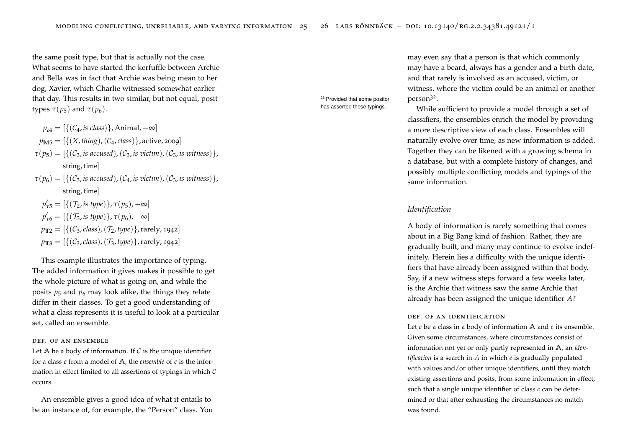the same posit type, but that is actually not the case. What seems to have started the kerfuffle between Archie and Bella was in fact that Archie was being mean to her dog, Xavier, which Charlie witnessed somewhat earlier that day. This results in two similar, but not equal, posit types  $\tau(p_5)$  and  $\tau(p_6)$ .

$$
p_{c4} = [\{(C_4, is \text{ class})\}, \text{Animal}, -\infty]
$$
  
\n
$$
p_{\text{M5}} = [\{(X, \text{thing}), (C_4, \text{class})\}, \text{active}, 2009]
$$
  
\n
$$
\tau(p_5) = [\{(C_3, is \text{ accused}), (C_3, is \text{ victim}), (C_3, is \text{ witness})\},
$$
  
\nstring, time]  
\n
$$
\tau(p_6) = [\{(C_3, is \text{ accused}), (C_4, is \text{ victim}), (C_3, is \text{ witness})\},
$$
  
\nstring, time]  
\n
$$
p'_{\tau 5} = [\{(T_2, is \text{ type})\}, \tau(p_5), -\infty]
$$
  
\n
$$
p'_{\tau 6} = [\{(T_3, is \text{ type})\}, \tau(p_6), -\infty]
$$
  
\n
$$
p_{\text{T2}} = [\{(C_3, \text{class}), (T_2, \text{type})\}, \text{rarely}, 1942]
$$
  
\n
$$
p_{\text{T3}} = [\{(C_3, \text{class}), (T_3, \text{type})\}, \text{rarely}, 1942]
$$

This example illustrates the importance of typing. The added information it gives makes it possible to get the whole picture of what is going on, and while the posits  $p_5$  and  $p_6$  may look alike, the things they relate differ in their classes. To get a good understanding of what a class represents it is useful to look at a particular set, called an ensemble.

## def. of an ensemble

Let  $A$  be a body of information. If  $C$  is the unique identifier for a class *c* from a model of **A**, the *ensemble* of *c* is the information in effect limited to all assertions of typings in which  $\mathcal C$ occurs.

An ensemble gives a good idea of what it entails to be an instance of, for example, the "Person" class. You <sup>32</sup> Provided that some positor

may even say that a person is that which commonly may have a beard, always has a gender and a birth date, and that rarely is involved as an accused, victim, or witness, where the victim could be an animal or another person<sup>32</sup> .

has asserted these typings. While sufficient to provide a model through a set of classifiers, the ensembles enrich the model by providing a more descriptive view of each class. Ensembles will naturally evolve over time, as new information is added. Together they can be likened with a growing schema in a database, but with a complete history of changes, and possibly multiple conflicting models and typings of the same information.

## *Identification*

A body of information is rarely something that comes about in a Big Bang kind of fashion. Rather, they are gradually built, and many may continue to evolve indefinitely. Herein lies a difficulty with the unique identifiers that have already been assigned within that body. Say, if a new witness steps forward a few weeks later, is the Archie that witness saw the same Archie that already has been assigned the unique identifier *A*?

## def. of an identification

Let *c* be a class in a body of information **A** and *e* its ensemble. Given some circumstances, where circumstances consist of information not yet or only partly represented in **A**, an *identification* is a search in *A* in which *e* is gradually populated with values and/or other unique identifiers, until they match existing assertions and posits, from some information in effect, such that a single unique identifier of class *c* can be determined or that after exhausting the circumstances no match was found.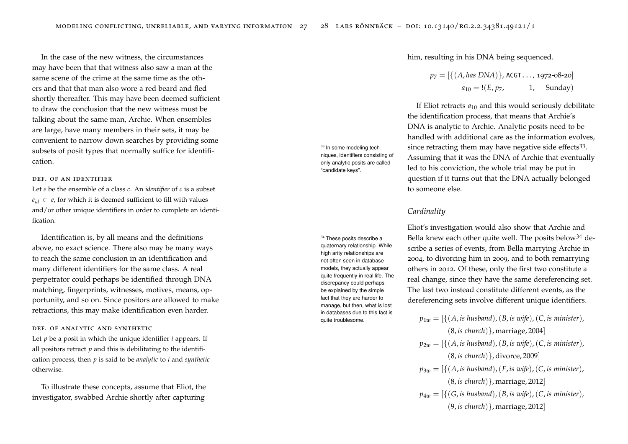In the case of the new witness, the circumstances may have been that that witness also saw a man at the same scene of the crime at the same time as the others and that that man also wore a red beard and fled shortly thereafter. This may have been deemed sufficient to draw the conclusion that the new witness must be talking about the same man, Archie. When ensembles are large, have many members in their sets, it may be convenient to narrow down searches by providing some subsets of posit types that normally suffice for identification.

## def. of an identifier

Let *e* be the ensemble of a class *c*. An *identifier* of *c* is a subset  $e_{id} \,\subset e$ , for which it is deemed sufficient to fill with values and/or other unique identifiers in order to complete an identification.

Identification is, by all means and the definitions above, no exact science. There also may be many ways to reach the same conclusion in an identification and many different identifiers for the same class. A real perpetrator could perhaps be identified through DNA matching, fingerprints, witnesses, motives, means, opportunity, and so on. Since positors are allowed to make retractions, this may make identification even harder.

## def. of analytic and synthetic

Let *p* be a posit in which the unique identifier *i* appears. If all positors retract  $p$  and this is debilitating to the identification process, then *p* is said to be *analytic* to *i* and *synthetic* otherwise.

To illustrate these concepts, assume that Eliot, the investigator, swabbed Archie shortly after capturing

him, resulting in his DNA being sequenced.

$$
p_7 = [{(A, has DNA)}, ACGT..., 1972-08-20]
$$
  

$$
a_{10} = !(E, p_7, 1, Sunday)
$$

If Eliot retracts  $a_{10}$  and this would seriously debilitate the identification process, that means that Archie's DNA is analytic to Archie. Analytic posits need to be handled with additional care as the information evolves, since retracting them may have negative side effects<sup>33</sup>. Assuming that it was the DNA of Archie that eventually led to his conviction, the whole trial may be put in question if it turns out that the DNA actually belonged to someone else.

## *Cardinality*

Eliot's investigation would also show that Archie and  $34$  These posits describe a Bella knew each other quite well. The posits below  $34$  describe a series of events, from Bella marrying Archie in 2004, to divorcing him in 2009, and to both remarrying others in 2012. Of these, only the first two constitute a real change, since they have the same dereferencing set. The last two instead constitute different events, as the dereferencing sets involve different unique identifiers.

> $p_{1w} = [\{(A, \text{is husband}), (B, \text{is wife}), (C, \text{is minister}),\}$ (8, *is church*)}, marriage, 2004]  $p_{2w} = [\{(A, is husband), (B, is wife), (C, is minister)\}]$ (8, *is church*)}, divorce, 2009]  $p_{3w} = [\{(A, \text{is husband}), (F, \text{is wife}), (C, \text{is minister}),\}$ (8, *is church*)}, marriage, 2012]  $p_{4w} = [\{(G, is husband), (B, is wife), (C, is minister)\}]$ (9, *is church*)}, marriage, 2012]

<sup>33</sup> In some modeling techniques, identifiers consisting of only analytic posits are called "candidate keys".

> quaternary relationship. While high arity relationships are not often seen in database models, they actually appear quite frequently in real life. The discrepancy could perhaps be explained by the simple fact that they are harder to manage, but then, what is lost in databases due to this fact is quite troublesome.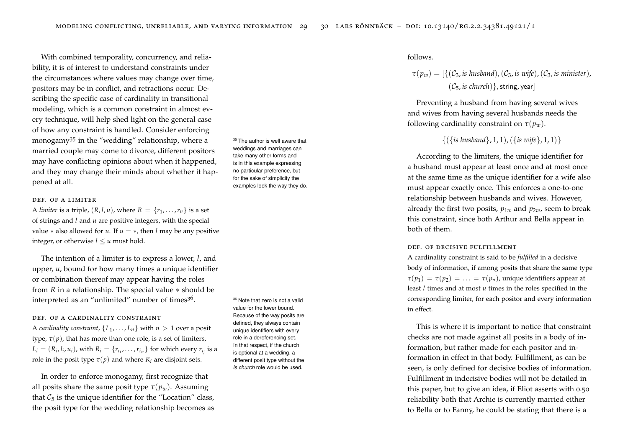With combined temporality, concurrency, and reliability, it is of interest to understand constraints under the circumstances where values may change over time, positors may be in conflict, and retractions occur. Describing the specific case of cardinality in transitional modeling, which is a common constraint in almost every technique, will help shed light on the general case of how any constraint is handled. Consider enforcing monogamy<sup>35</sup> in the "wedding" relationship, where a  $35$  The author is well aware that married couple may come to divorce, different positors may have conflicting opinions about when it happened, and they may change their minds about whether it happened at all.

## def. of a limiter

A *limiter* is a triple,  $(R, l, u)$ , where  $R = \{r_1, \ldots, r_n\}$  is a set of strings and *l* and *u* are positive integers, with the special value  $*$  also allowed for *u*. If  $u = *$ , then *l* may be any positive integer, or otherwise  $l \leq u$  must hold.

The intention of a limiter is to express a lower, *l*, and upper, *u*, bound for how many times a unique identifier or combination thereof may appear having the roles from *R* in a relationship. The special value ∗ should be interpreted as an "unlimited" number of times<sup>36</sup>.

## DEF. OF A CARDINALITY CONSTRAINT

A *cardinality constraint*,  $\{L_1, \ldots, L_n\}$  with  $n > 1$  over a posit type,  $\tau(p)$ , that has more than one role, is a set of limiters,  $L_i = (R_i, l_i, u_i)$ , with  $R_i = \{r_{i_1}, \ldots, r_{i_m}\}$  for which every  $r_{i_j}$  is a role in the posit type  $\tau(p)$  and where  $R_i$  are disjoint sets.

In order to enforce monogamy, first recognize that all posits share the same posit type  $\tau(p_w)$ . Assuming that  $C_5$  is the unique identifier for the "Location" class, the posit type for the wedding relationship becomes as weddings and marriages can take many other forms and is in this example expressing no particular preference, but for the sake of simplicity the examples look the way they do.

<sup>36</sup> Note that zero is not a valid value for the lower bound. Because of the way posits are defined, they always contain unique identifiers with every role in a dereferencing set. In that respect, if the church is optional at a wedding, a different posit type without the *is church* role would be used.

## follows.

$$
\tau(p_w) = [\{ (C_3, \text{is husband}), (C_3, \text{is wife}), (C_3, \text{is minister}),
$$
  

$$
(C_5, \text{is church})\}, \text{string, year}]
$$

Preventing a husband from having several wives and wives from having several husbands needs the following cardinality constraint on  $\tau(p_w)$ .

## {({*is husband*}, 1, 1),({*is wife*}, 1, 1)}

According to the limiters, the unique identifier for a husband must appear at least once and at most once at the same time as the unique identifier for a wife also must appear exactly once. This enforces a one-to-one relationship between husbands and wives. However, already the first two posits,  $p_{1w}$  and  $p_{2w}$ , seem to break this constraint, since both Arthur and Bella appear in both of them.

#### def. of decisive fulfillment

A cardinality constraint is said to be *fulfilled* in a decisive body of information, if among posits that share the same type  $\tau(p_1) = \tau(p_2) = \ldots = \tau(p_n)$ , unique identifiers appear at least *l* times and at most *u* times in the roles specified in the corresponding limiter, for each positor and every information in effect.

This is where it is important to notice that constraint checks are not made against all posits in a body of information, but rather made for each positor and information in effect in that body. Fulfillment, as can be seen, is only defined for decisive bodies of information. Fulfillment in indecisive bodies will not be detailed in this paper, but to give an idea, if Eliot asserts with 0.50 reliability both that Archie is currently married either to Bella or to Fanny, he could be stating that there is a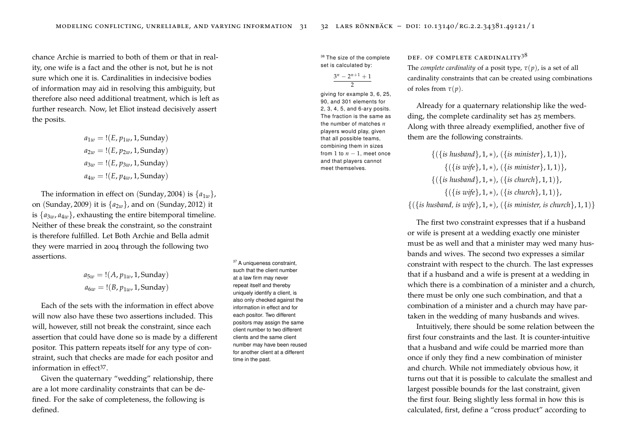chance Archie is married to both of them or that in reality, one wife is a fact and the other is not, but he is not sure which one it is. Cardinalities in indecisive bodies of information may aid in resolving this ambiguity, but therefore also need additional treatment, which is left as further research. Now, let Eliot instead decisively assert the posits.

$$
a_{1w} = !(E, p_{1w}, 1, \text{Sunday})
$$
  
\n $a_{2w} = !(E, p_{2w}, 1, \text{Sunday})$   
\n $a_{3w} = !(E, p_{3w}, 1, \text{Sunday})$   
\n $a_{4w} = !(E, p_{4w}, 1, \text{Sunday})$ 

The information in effect on (Sunday, 2004) is  $\{a_{1w}\}\$ on (Sunday, 2009) it is {*a*2*w*}, and on (Sunday, 2012) it is  ${a_{3w}, a_{4w}}$ , exhausting the entire bitemporal timeline. Neither of these break the constraint, so the constraint is therefore fulfilled. Let Both Archie and Bella admit they were married in 2004 through the following two assertions.

$$
a_{5w} = !(A, p_{1w}, 1, \text{Sunday})
$$
  
 $a_{6w} = !(B, p_{1w}, 1, \text{Sunday})$ 

Each of the sets with the information in effect above will now also have these two assertions included. This will, however, still not break the constraint, since each assertion that could have done so is made by a different positor. This pattern repeats itself for any type of constraint, such that checks are made for each positor and information in effect<sup>37</sup>.

Given the quaternary "wedding" relationship, there are a lot more cardinality constraints that can be defined. For the sake of completeness, the following is defined.

set is calculated by:

$$
\frac{3^n - 2^{n+1} + 1}{2}
$$

giving for example 3, 6, 25, 90, and 301 elements for 2, 3, 4, 5, and 6-ary posits. The fraction is the same as the number of matches *n* players would play, given that all possible teams, combining them in sizes from 1 to  $n-1$ , meet once and that players cannot meet themselves.

## <sup>38</sup> The size of the complete DEF. OF COMPLETE CARDINALITY  $3^8$

The *complete cardinality* of a posit type,  $\tau(p)$ , is a set of all cardinality constraints that can be created using combinations of roles from  $\tau(p)$ .

Already for a quaternary relationship like the wedding, the complete cardinality set has 25 members. Along with three already exemplified, another five of them are the following constraints.

{({*is husband*}, 1, ∗), ({*is minister*}, 1, 1)}, {({*is wife*}, 1, ∗), ({*is minister*}, 1, 1)}, {({*is husband*}, 1, ∗), ({*is church*}, 1, 1)}, {({*is wife*}, 1, ∗), ({*is church*}, 1, 1)}, {({*is husband, is wife*}, 1, ∗), ({*is minister, is church*}, 1, 1)}

The first two constraint expresses that if a husband or wife is present at a wedding exactly one minister must be as well and that a minister may wed many husbands and wives. The second two expresses a similar constraint with respect to the church. The last expresses that if a husband and a wife is present at a wedding in which there is a combination of a minister and a church, there must be only one such combination, and that a combination of a minister and a church may have partaken in the wedding of many husbands and wives.

Intuitively, there should be some relation between the first four constraints and the last. It is counter-intuitive that a husband and wife could be married more than once if only they find a new combination of minister and church. While not immediately obvious how, it turns out that it is possible to calculate the smallest and largest possible bounds for the last constraint, given the first four. Being slightly less formal in how this is calculated, first, define a "cross product" according to

such that the client number at a law firm may never repeat itself and thereby uniquely identify a client, is also only checked against the information in effect and for each positor. Two different positors may assign the same client number to two different clients and the same client number may have been reused for another client at a different time in the past.

<sup>37</sup> A uniqueness constraint,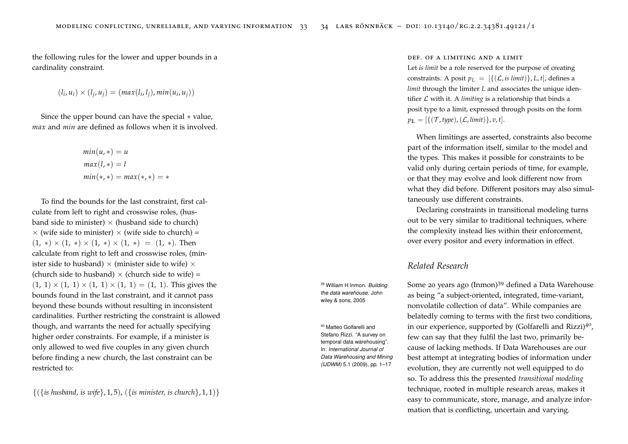the following rules for the lower and upper bounds in a cardinality constraint.

$$
(l_i, u_i) \times (l_j, u_j) = (max(l_i, l_j), min(u_i, u_j))
$$

Since the upper bound can have the special ∗ value, *max* and *min* are defined as follows when it is involved.

$$
min(u, *) = u
$$
  

$$
max(l, *) = l
$$
  

$$
min(*, *) = max(*, *) = *
$$

To find the bounds for the last constraint, first calculate from left to right and crosswise roles, (husband side to minister)  $\times$  (husband side to church)  $\times$  (wife side to minister)  $\times$  (wife side to church) =  $(1, *) \times (1, *) \times (1, *) \times (1, *) = (1, *)$ . Then calculate from right to left and crosswise roles, (minister side to husband)  $\times$  (minister side to wife)  $\times$ (church side to husband)  $\times$  (church side to wife) =  $(1, 1) \times (1, 1) \times (1, 1) \times (1, 1) = (1, 1)$ . This gives the bounds found in the last constraint, and it cannot pass beyond these bounds without resulting in inconsistent cardinalities. Further restricting the constraint is allowed though, and warrants the need for actually specifying higher order constraints. For example, if a minister is only allowed to wed five couples in any given church before finding a new church, the last constraint can be restricted to:

{({*is husband, is wife*}, 1, 5), ({*is minister, is church*}, 1, 1)}

#### def. of a limiting and a limit

Let *is limit* be a role reserved for the purpose of creating constraints. A posit  $p_L = [{({\mathcal{L}, is limit})}, L, t]$ , defines a *limit* through the limiter *L* and associates the unique identifier  $L$  with it. A *limiting* is a relationship that binds a posit type to a limit, expressed through posits on the form  $p_{\mathbb{L}} = [\{(\mathcal{T}, \text{type}), (\mathcal{L}, \text{limit})\}, v, t].$ 

When limitings are asserted, constraints also become part of the information itself, similar to the model and the types. This makes it possible for constraints to be valid only during certain periods of time, for example, or that they may evolve and look different now from what they did before. Different positors may also simultaneously use different constraints.

Declaring constraints in transitional modeling turns out to be very similar to traditional techniques, where the complexity instead lies within their enforcement, over every positor and every information in effect.

## *Related Research*

<sup>39</sup> William H Inmon. *Building* Some 20 years ago (Inmon)<sup>39</sup> defined a Data Warehouse as being "a subject-oriented, integrated, time-variant, nonvolatile collection of data". While companies are belatedly coming to terms with the first two conditions, in our experience, supported by (Golfarelli and Rizzi)<sup>40</sup>, few can say that they fulfil the last two, primarily because of lacking methods. If Data Warehouses are our best attempt at integrating bodies of information under evolution, they are currently not well equipped to do so. To address this the presented *transitional modeling* technique, rooted in multiple research areas, makes it easy to communicate, store, manage, and analyze information that is conflicting, uncertain and varying.

*the data warehouse*. John wiley & sons, 2005

<sup>40</sup> Matteo Golfarelli and Stefano Rizzi. "A survey on temporal data warehousing". In: *International Journal of Data Warehousing and Mining (IJDWM)* 5.1 (2009), pp. 1–17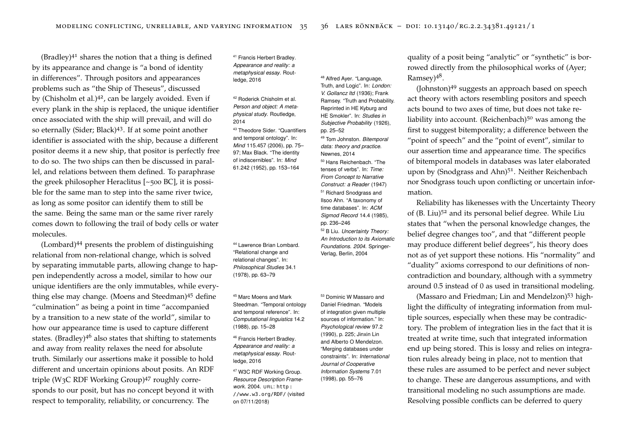(Bradley) $41$  shares the notion that a thing is defined  $41$  Francis Herbert Bradley. by its appearance and change is "a bond of identity in differences". Through positors and appearances problems such as "the Ship of Theseus", discussed by (Chisholm et al.)<sup>42</sup>, can be largely avoided. Even if  $\frac{42}{4}$  Roderick Chisholm et al. every plank in the ship is replaced, the unique identifier once associated with the ship will prevail, and will do so eternally (Sider; Black) $43$ . If at some point another  $43$  Theodore Sider. "Quantifiers identifier is associated with the ship, because a different positor deems it a new ship, that positor is perfectly free to do so. The two ships can then be discussed in parallel, and relations between them defined. To paraphrase the greek philosopher Heraclitus [~500 BC], it is possible for the same man to step into the same river twice, as long as some positor can identify them to still be the same. Being the same man or the same river rarely comes down to following the trail of body cells or water molecules.

(Lombard)<sup>44</sup> presents the problem of distinguishing  $44$  Lawrence Brian Lombard. relational from non-relational change, which is solved by separating immutable parts, allowing change to happen independently across a model, similar to how our unique identifiers are the only immutables, while everything else may change. (Moens and Steedman)<sup>45</sup> define <sup>45</sup> Marc Moens and Mark "culmination" as being a point in time "accompanied by a transition to a new state of the world", similar to how our appearance time is used to capture different states. (Bradley)<sup>46</sup> also states that shifting to statements  $46$  Francis Herbert Bradley. and away from reality relaxes the need for absolute truth. Similarly our assertions make it possible to hold different and uncertain opinions about posits. An RDF triple (W<sub>3</sub>C RDF Working Group)<sup>47</sup> roughly corresponds to our posit, but has no concept beyond it with respect to temporality, reliability, or concurrency. The

*Appearance and reality: a metaphysical essay*. Routledge, 2016

*Person and object: A metaphysical study*. Routledge, 2014

and temporal ontology". In: *Mind* 115.457 (2006), pp. 75– 97; Max Black. "The identity of indiscernibles". In: *Mind* 61.242 (1952), pp. 153–164

"Relational change and relational changes". In: *Philosophical Studies* 34.1 (1978), pp. 63–79

Steedman. "Temporal ontology and temporal reference". In: *Computational linguistics* 14.2 (1988), pp. 15–28

- *Appearance and reality: a metaphysical essay*. Routledge, 2016
- <sup>47</sup> W3C RDF Working Group. *Resource Description Framework.* 2004. URL: http: [//www.w3.org/RDF/](http://www.w3.org/RDF/) (visited on 07/11/2018)

<sup>48</sup> Alfred Ayer. "Language, Truth, and Logic". In: *London: V. Gollancz ltd* (1936); Frank Ramsey. "Truth and Probability. Reprinted in HE Kyburg and HE Smokler". In: *Studies in Subjective Probability* (1926), pp. 25–52 <sup>49</sup> Tom Johnston. *Bitemporal data: theory and practice*. Newnes, 2014 <sup>50</sup> Hans Reichenbach. "The tenses of verbs". In: *Time: From Concept to Narrative Construct: a Reader* (1947) 51 Richard Snodgrass and Ilsoo Ahn. "A taxonomy of time databases". In: *ACM Sigmod Record* 14.4 (1985), pp. 236–246 <sup>52</sup> B Liu. *Uncertainty Theory: An Introduction to its Axiomatic Foundations. 2004*. Springer-Verlag, Berlin, 2004

Daniel Friedman. "Models of integration given multiple sources of information." In: *Psychological review* 97.2 (1990), p. 225; Jinxin Lin and Alberto O Mendelzon. "Merging databases under constraints". In: *International Journal of Cooperative Information Systems* 7.01 (1998), pp. 55–76

quality of a posit being "analytic" or "synthetic" is borrowed directly from the philosophical works of (Ayer; Ramsey)<sup>48</sup>.

(Johnston)<sup>49</sup> suggests an approach based on speech act theory with actors resembling positors and speech acts bound to two axes of time, but does not take reliability into account. (Reichenbach) $50$  was among the first to suggest bitemporality; a difference between the "point of speech" and the "point of event", similar to our assertion time and appearance time. The specifics of bitemporal models in databases was later elaborated upon by (Snodgrass and Ahn)<sup>51</sup>. Neither Reichenbach nor Snodgrass touch upon conflicting or uncertain information.

Reliability has likenesses with the Uncertainty Theory of (B. Liu)<sup>52</sup> and its personal belief degree. While Liu states that "when the personal knowledge changes, the belief degree changes too", and that "different people may produce different belief degrees", his theory does not as of yet support these notions. His "normality" and "duality" axioms correspond to our definitions of noncontradiction and boundary, although with a symmetry around 0.5 instead of 0 as used in transitional modeling.

<sup>53</sup> Dominic W Massaro and **Friedman; Lin and Mendelzon**)<sup>53</sup> highlight the difficulty of integrating information from multiple sources, especially when these may be contradictory. The problem of integration lies in the fact that it is treated at write time, such that integrated information end up being stored. This is lossy and relies on integration rules already being in place, not to mention that these rules are assumed to be perfect and never subject to change. These are dangerous assumptions, and with transitional modeling no such assumptions are made. Resolving possible conflicts can be deferred to query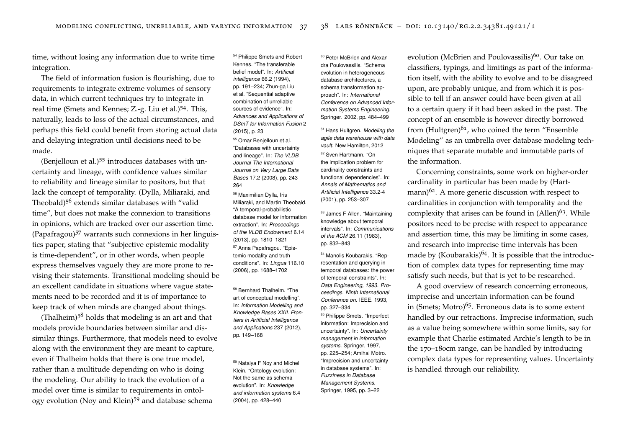time, without losing any information due to write time integration.

The field of information fusion is flourishing, due to requirements to integrate extreme volumes of sensory data, in which current techniques try to integrate in real time (Smets and Kennes; Z.-g. Liu et al.)<sup>54</sup>. This, naturally, leads to loss of the actual circumstances, and perhaps this field could benefit from storing actual data and delaying integration until decisions need to be made.

(Benjelloun et al.)<sup>55</sup> introduces databases with uncertainty and lineage, with confidence values similar to reliability and lineage similar to positors, but that lack the concept of temporality. (Dylla, Miliaraki, and Theobald)<sup>56</sup> extends similar databases with "valid time", but does not make the connexion to transitions in opinions, which are tracked over our assertion time. (Papafragou)<sup>57</sup> warrants such connexions in her linguistics paper, stating that "subjective epistemic modality is time-dependent", or in other words, when people express themselves vaguely they are more prone to revising their statements. Transitional modeling should be an excellent candidate in situations where vague statements need to be recorded and it is of importance to keep track of when minds are changed about things.

(Thalheim) $5<sup>8</sup>$  holds that modeling is an art and that models provide boundaries between similar and dissimilar things. Furthermore, that models need to evolve along with the environment they are meant to capture, even if Thalheim holds that there is one true model, rather than a multitude depending on who is doing the modeling. Our ability to track the evolution of a model over time is similar to requirements in ontology evolution (Noy and Klein)<sup>59</sup> and database schema

<sup>54</sup> Philippe Smets and Robert Kennes. "The transferable belief model". In: *Artificial intelligence* 66.2 (1994), pp. 191–234; Zhun-ga Liu et al. "Sequential adaptive combination of unreliable sources of evidence". In: *Advances and Applications of DSmT for Information Fusion* 2 (2015), p. 23

<sup>55</sup> Omar Benjelloun et al. "Databases with uncertainty and lineage". In: *The VLDB Journal-The International Journal on Very Large Data Bases* 17.2 (2008), pp. 243– 264

<sup>56</sup> Maximilian Dylla, Iris Miliaraki, and Martin Theobald. "A temporal-probabilistic database model for information extraction". In: *Proceedings of the VLDB Endowment* 6.14 (2013), pp. 1810–1821 <sup>57</sup> Anna Papafragou. "Epistemic modality and truth conditions". In: *Lingua* 116.10 (2006), pp. 1688–1702

<sup>58</sup> Bernhard Thalheim. "The art of conceptual modelling". In: *Information Modelling and Knowledge Bases XXII. Frontiers in Artificial Intelligence and Applications* 237 (2012), pp. 149–168

<sup>59</sup> Natalya F Noy and Michel Klein. "Ontology evolution: Not the same as schema evolution". In: *Knowledge and information systems* 6.4 (2004), pp. 428–440

dra Poulovassilis. "Schema evolution in heterogeneous database architectures, a schema transformation approach". In: *International Conference on Advanced Information Systems Engineering*. Springer. 2002, pp. 484–499

*agile data warehouse with data vault*. New Hamilton, 2012

<sup>62</sup> Sven Hartmann. "On the implication problem for cardinality constraints and functional dependencies". In: *Annals of Mathematics and Artificial Intelligence* 33.2-4

knowledge about temporal intervals". In: *Communications of the ACM* 26.11 (1983), pp. 832–843

resentation and querying in temporal databases: the power of temporal constraints". In: *Data Engineering, 1993. Proceedings. Ninth International Conference on*. IEEE. 1993, pp. 327–334

<sup>65</sup> Philippe Smets. "Imperfect information: Imprecision and uncertainty". In: *Uncertainty management in information systems*. Springer, 1997, pp. 225–254; Amihai Motro. "Imprecision and uncertainty in database systems". In: *Fuzziness in Database Management Systems*. Springer, 1995, pp. 3–22

<sup>60</sup> Peter McBrien and Alexan- evolution (McBrien and Poulovassilis)<sup>60</sup>. Our take on classifiers, typings, and limitings as part of the information itself, with the ability to evolve and to be disagreed upon, are probably unique, and from which it is possible to tell if an answer could have been given at all to a certain query if it had been asked in the past. The concept of an ensemble is however directly borrowed  $<sup>61</sup>$  Hans Hultgren. *Modeling the* from (Hultgren)<sup>61</sup>, who coined the term "Ensemble</sup> Modeling" as an umbrella over database modeling techniques that separate mutable and immutable parts of the information.

Concerning constraints, some work on higher-order cardinality in particular has been made by (Hartmann) $62$ . A more generic discussion with respect to (2001), pp. 253–307 cardinalities in conjunction with temporality and the <sup>63</sup> James F Allen. "Maintaining complexity that arises can be found in  $(Allen)^{63}$ . While positors need to be precise with respect to appearance and assertion time, this may be limiting in some cases, and research into imprecise time intervals has been <sup>64</sup> Manolis Koubarakis. "Rep- made by (Koubarakis)<sup>64</sup>. It is possible that the introduction of complex data types for representing time may satisfy such needs, but that is yet to be researched.

> A good overview of research concerning erroneous, imprecise and uncertain information can be found in (Smets; Motro)<sup>65</sup>. Erroneous data is to some extent handled by our retractions. Imprecise information, such as a value being somewhere within some limits, say for example that Charlie estimated Archie's length to be in the 170–180cm range, can be handled by introducing complex data types for representing values. Uncertainty is handled through our reliability.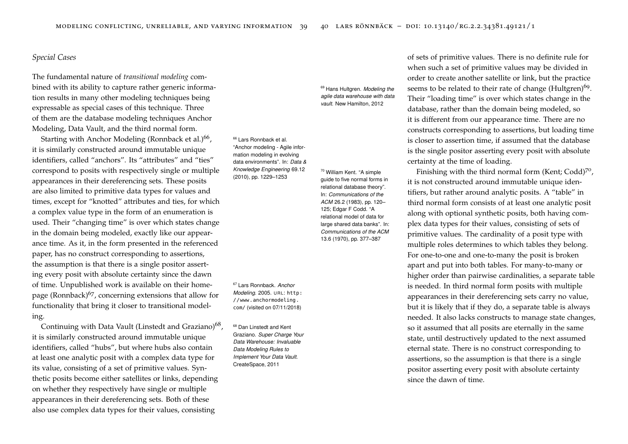## *Special Cases*

The fundamental nature of *transitional modeling* combined with its ability to capture rather generic information results in many other modeling techniques being expressable as special cases of this technique. Three of them are the database modeling techniques Anchor Modeling, Data Vault, and the third normal form.

Starting with Anchor Modeling (Ronnback et al.)<sup>66</sup>, it is similarly constructed around immutable unique identifiers, called "anchors". Its "attributes" and "ties" correspond to posits with respectively single or multiple appearances in their dereferencing sets. These posits are also limited to primitive data types for values and times, except for "knotted" attributes and ties, for which a complex value type in the form of an enumeration is used. Their "changing time" is over which states change in the domain being modeled, exactly like our appearance time. As it, in the form presented in the referenced paper, has no construct corresponding to assertions, the assumption is that there is a single positor asserting every posit with absolute certainty since the dawn of time. Unpublished work is available on their homepage (Ronnback) $67$ , concerning extensions that allow for functionality that bring it closer to transitional model-<br>[com/](http://www.anchormodeling.com/) (visited on 07/11/2018) ing.

Continuing with Data Vault (Linstedt and Graziano)<sup>68</sup>, it is similarly constructed around immutable unique identifiers, called "hubs", but where hubs also contain at least one analytic posit with a complex data type for its value, consisting of a set of primitive values. Synthetic posits become either satellites or links, depending on whether they respectively have single or multiple appearances in their dereferencing sets. Both of these also use complex data types for their values, consisting

## <sup>69</sup> Hans Hultgren. *Modeling the agile data warehouse with data vault*. New Hamilton, 2012

<sup>66</sup> Lars Ronnback et al. "Anchor modeling - Agile information modeling in evolving data environments". In: *Data & Knowledge Engineering* 69.12 (2010), pp. 1229–1253

guide to five normal forms in relational database theory". In: *Communications of the ACM* 26.2 (1983), pp. 120– 125; Edgar F Codd. "A relational model of data for large shared data banks". In: *Communications of the ACM* 13.6 (1970), pp. 377–387

<sup>70</sup> William Kent. "A simple

<sup>67</sup> Lars Ronnback. *Anchor Modeling.* 2005. URL: [http:](http://www.anchormodeling.com/) [//www.anchormodeling.](http://www.anchormodeling.com/)

<sup>68</sup> Dan Linstedt and Kent Graziano. *Super Charge Your Data Warehouse: Invaluable Data Modeling Rules to Implement Your Data Vault*. CreateSpace, 2011

of sets of primitive values. There is no definite rule for when such a set of primitive values may be divided in order to create another satellite or link, but the practice seems to be related to their rate of change (Hultgren)<sup>69</sup>. Their "loading time" is over which states change in the database, rather than the domain being modeled, so it is different from our appearance time. There are no constructs corresponding to assertions, but loading time is closer to assertion time, if assumed that the database is the single positor asserting every posit with absolute certainty at the time of loading.

Finishing with the third normal form (Kent; Codd)<sup>70</sup>, it is not constructed around immutable unique identifiers, but rather around analytic posits. A "table" in third normal form consists of at least one analytic posit along with optional synthetic posits, both having complex data types for their values, consisting of sets of primitive values. The cardinality of a posit type with multiple roles determines to which tables they belong. For one-to-one and one-to-many the posit is broken apart and put into both tables. For many-to-many or higher order than pairwise cardinalities, a separate table is needed. In third normal form posits with multiple appearances in their dereferencing sets carry no value, but it is likely that if they do, a separate table is always needed. It also lacks constructs to manage state changes, so it assumed that all posits are eternally in the same state, until destructively updated to the next assumed eternal state. There is no construct corresponding to assertions, so the assumption is that there is a single positor asserting every posit with absolute certainty since the dawn of time.